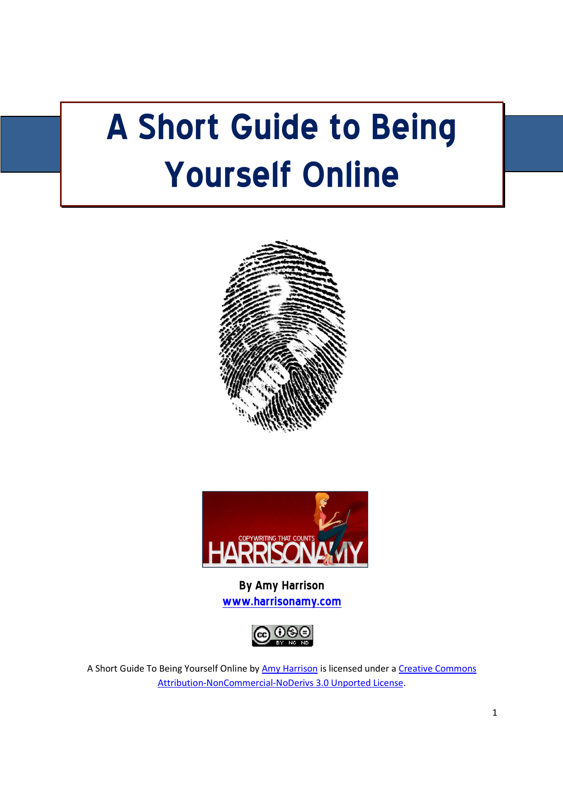# A Short Guide to Being Yourself Online





By Amy Harrison www.harrisonamy.com



A Short Guide To Being Yourself Online by Amy Harrison is licensed under a Creative Commons Attribution-NonCommercial-NoDerivs 3.0 Unported License.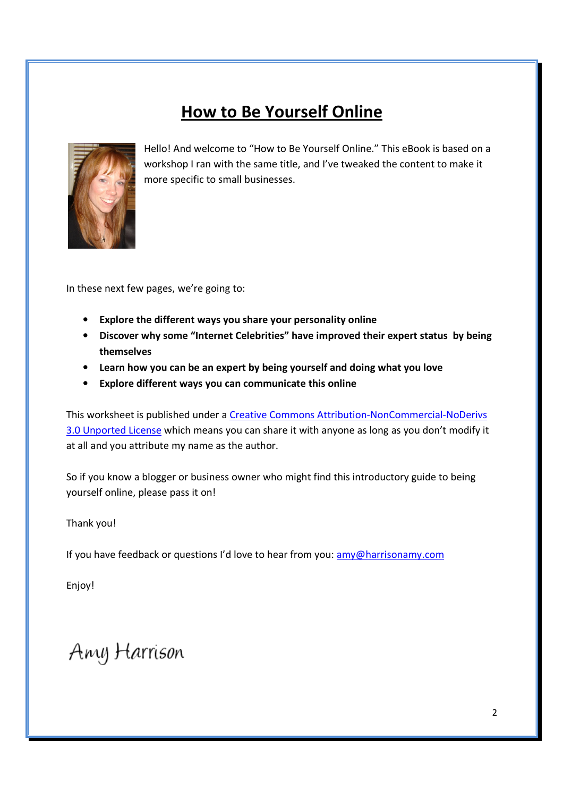### **How to Be Yourself Online**



Hello! And welcome to "How to Be Yourself Online." This eBook is based on a workshop I ran with the same title, and I've tweaked the content to make it more specific to small businesses.

In these next few pages, we're going to:

- Explore the different ways you share your personality online
- Discover why some "Internet Celebrities" have improved their expert status by being themselves
- Learn how you can be an expert by being yourself and doing what you love
- Explore different ways you can communicate this online

This worksheet is published under a Creative Commons Attribution-NonCommercial-NoDerivs 3.0 Unported License which means you can share it with anyone as long as you don't modify it at all and you attribute my name as the author.

So if you know a blogger or business owner who might find this introductory guide to being yourself online, please pass it on!

Thank you!

If you have feedback or questions I'd love to hear from you: amy@harrisonamy.com

Enjoy!

Any Harrison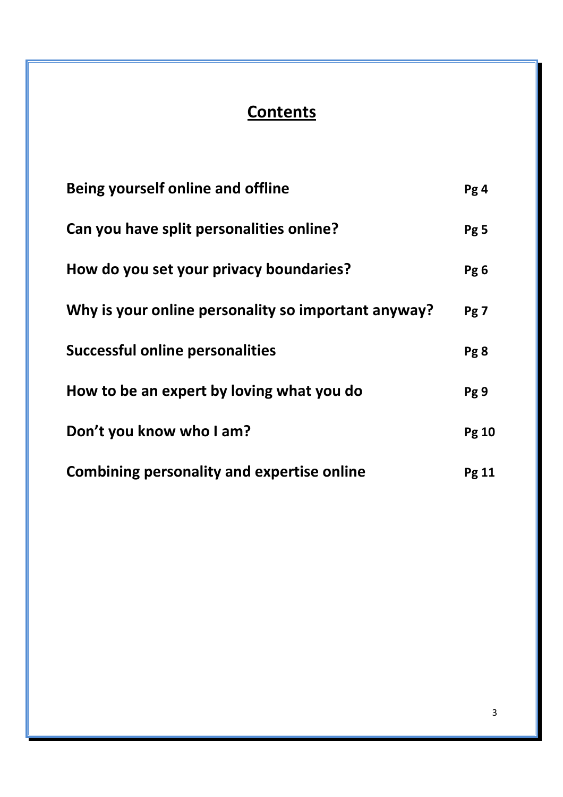# **Contents**

| Being yourself online and offline                   | Pg4             |
|-----------------------------------------------------|-----------------|
| Can you have split personalities online?            | Pg <sub>5</sub> |
| How do you set your privacy boundaries?             | Pg <sub>6</sub> |
| Why is your online personality so important anyway? | Pg 7            |
| <b>Successful online personalities</b>              | Pg <sub>8</sub> |
| How to be an expert by loving what you do           | Pg 9            |
| Don't you know who I am?                            | <b>Pg 10</b>    |
| <b>Combining personality and expertise online</b>   | Pg 11           |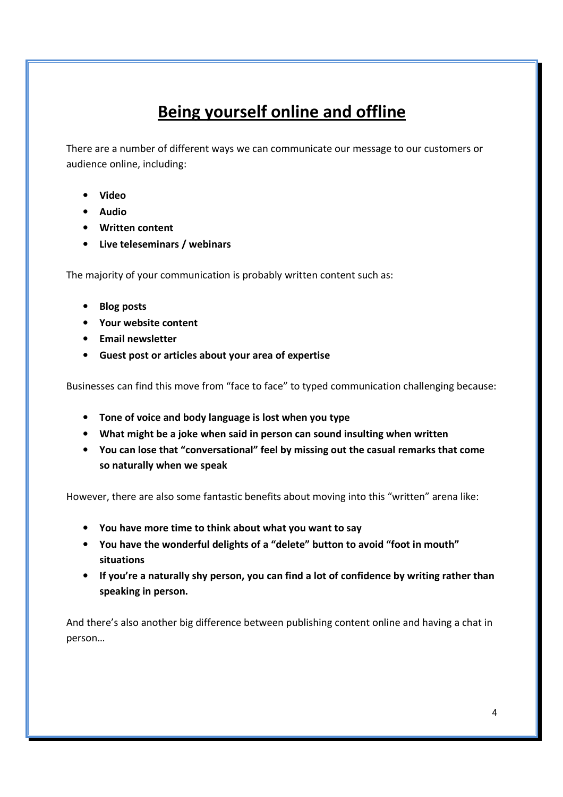# Being yourself online and offline

There are a number of different ways we can communicate our message to our customers or audience online, including:

- Video
- Audio
- Written content
- Live teleseminars / webinars

The majority of your communication is probably written content such as:

- Blog posts
- Your website content
- Email newsletter
- Guest post or articles about your area of expertise

Businesses can find this move from "face to face" to typed communication challenging because:

- Tone of voice and body language is lost when you type
- What might be a joke when said in person can sound insulting when written
- You can lose that "conversational" feel by missing out the casual remarks that come so naturally when we speak

However, there are also some fantastic benefits about moving into this "written" arena like:

- You have more time to think about what you want to say
- You have the wonderful delights of a "delete" button to avoid "foot in mouth" situations
- If you're a naturally shy person, you can find a lot of confidence by writing rather than speaking in person.

And there's also another big difference between publishing content online and having a chat in person…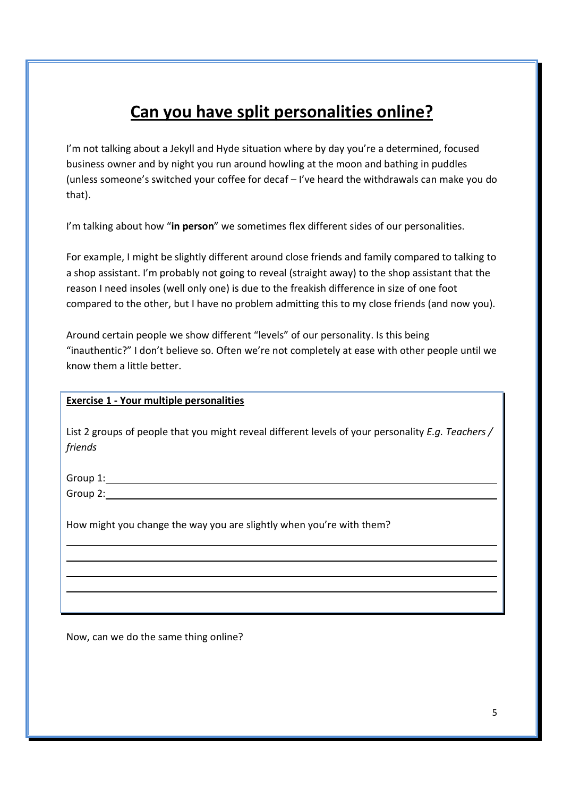### Can you have split personalities online?

I'm not talking about a Jekyll and Hyde situation where by day you're a determined, focused business owner and by night you run around howling at the moon and bathing in puddles (unless someone's switched your coffee for decaf – I've heard the withdrawals can make you do that).

I'm talking about how "in person" we sometimes flex different sides of our personalities.

For example, I might be slightly different around close friends and family compared to talking to a shop assistant. I'm probably not going to reveal (straight away) to the shop assistant that the reason I need insoles (well only one) is due to the freakish difference in size of one foot compared to the other, but I have no problem admitting this to my close friends (and now you).

Around certain people we show different "levels" of our personality. Is this being "inauthentic?" I don't believe so. Often we're not completely at ease with other people until we know them a little better.

#### Exercise 1 - Your multiple personalities

List 2 groups of people that you might reveal different levels of your personality E.q. Teachers / friends

Group 1:

Group 2: **Group 2: Group 2: Group 2: Group 2: Group 2: Group 2: Group 2: Group 2: Group 2: Group 2: Group 2: Group 2: Group 2: Group 2: Group 2: Group 2: Group 2: Group 2: Group 2: Gro** 

l,

How might you change the way you are slightly when you're with them?

Now, can we do the same thing online?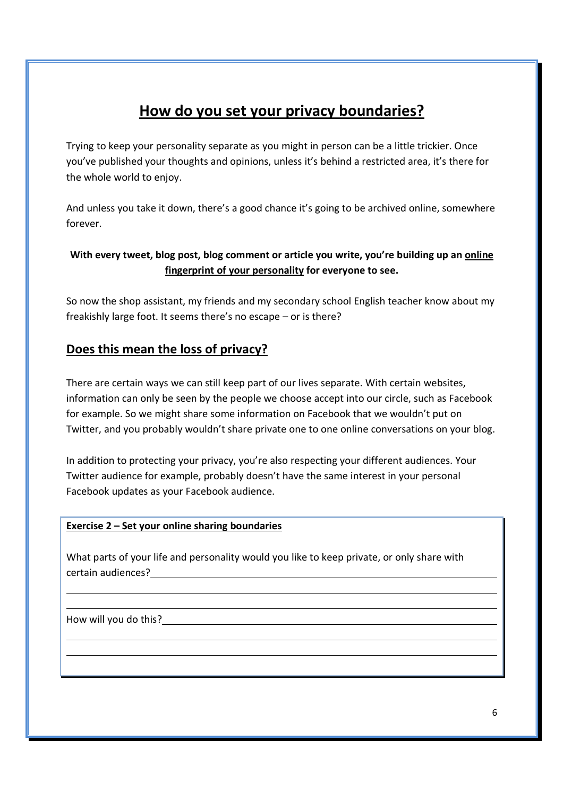### How do you set your privacy boundaries?

Trying to keep your personality separate as you might in person can be a little trickier. Once you've published your thoughts and opinions, unless it's behind a restricted area, it's there for the whole world to enjoy.

And unless you take it down, there's a good chance it's going to be archived online, somewhere forever.

#### With every tweet, blog post, blog comment or article you write, you're building up an online fingerprint of your personality for everyone to see.

So now the shop assistant, my friends and my secondary school English teacher know about my freakishly large foot. It seems there's no escape – or is there?

#### Does this mean the loss of privacy?

There are certain ways we can still keep part of our lives separate. With certain websites, information can only be seen by the people we choose accept into our circle, such as Facebook for example. So we might share some information on Facebook that we wouldn't put on Twitter, and you probably wouldn't share private one to one online conversations on your blog.

In addition to protecting your privacy, you're also respecting your different audiences. Your Twitter audience for example, probably doesn't have the same interest in your personal Facebook updates as your Facebook audience.

#### Exercise 2 – Set your online sharing boundaries

What parts of your life and personality would you like to keep private, or only share with certain audiences?

How will you do this?

l,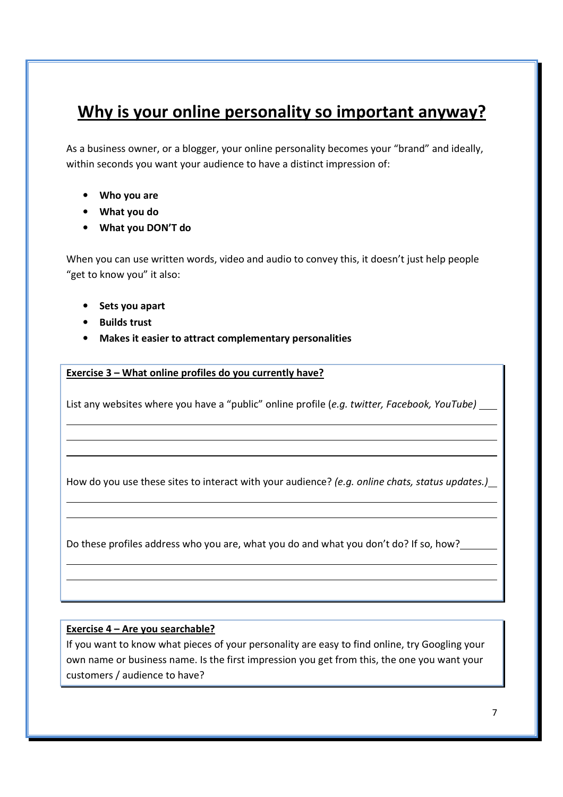### Why is your online personality so important anyway?

As a business owner, or a blogger, your online personality becomes your "brand" and ideally, within seconds you want your audience to have a distinct impression of:

- Who you are
- What you do
- What you DON'T do

When you can use written words, video and audio to convey this, it doesn't just help people "get to know you" it also:

- Sets you apart
- Builds trust

l,

 $\overline{a}$ 

• Makes it easier to attract complementary personalities

Exercise 3 – What online profiles do you currently have?

List any websites where you have a "public" online profile (e.g. twitter, Facebook, YouTube)

How do you use these sites to interact with your audience? (e.g. online chats, status updates.)

Do these profiles address who you are, what you do and what you don't do? If so, how?

#### Exercise 4 – Are you searchable?

If you want to know what pieces of your personality are easy to find online, try Googling your own name or business name. Is the first impression you get from this, the one you want your customers / audience to have?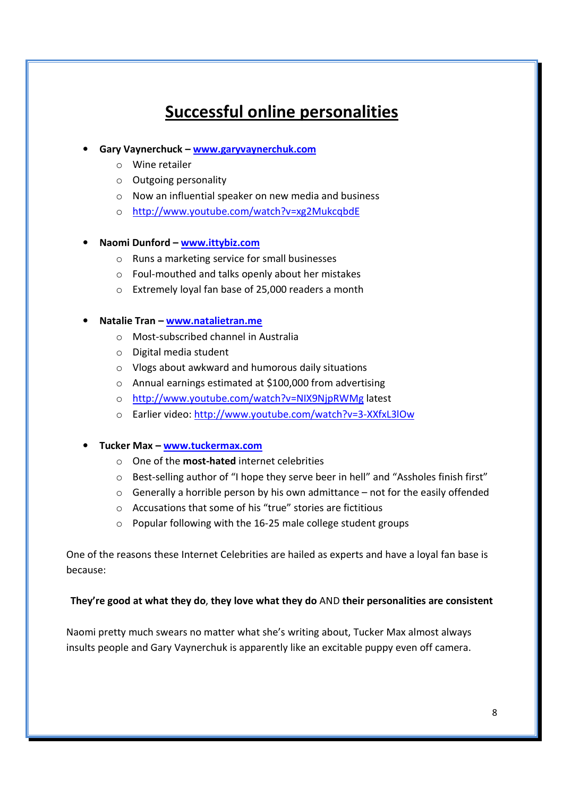# Successful online personalities

- Gary Vaynerchuck www.garyvaynerchuk.com
	- o Wine retailer
	- o Outgoing personality
	- o Now an influential speaker on new media and business
	- o http://www.youtube.com/watch?v=xg2MukcqbdE

#### • Naomi Dunford – www.ittybiz.com

- o Runs a marketing service for small businesses
- o Foul-mouthed and talks openly about her mistakes
- o Extremely loyal fan base of 25,000 readers a month

#### Natalie Tran – www.natalietran.me

- o Most-subscribed channel in Australia
- o Digital media student
- o Vlogs about awkward and humorous daily situations
- o Annual earnings estimated at \$100,000 from advertising
- o http://www.youtube.com/watch?v=NIX9NjpRWMg latest
- o Earlier video: http://www.youtube.com/watch?v=3-XXfxL3lOw
- Tucker Max www.tuckermax.com
	- o One of the most-hated internet celebrities
	- $\circ$  Best-selling author of "I hope they serve beer in hell" and "Assholes finish first"
	- $\circ$  Generally a horrible person by his own admittance not for the easily offended
	- o Accusations that some of his "true" stories are fictitious
	- o Popular following with the 16-25 male college student groups

One of the reasons these Internet Celebrities are hailed as experts and have a loyal fan base is because:

#### They're good at what they do, they love what they do AND their personalities are consistent

Naomi pretty much swears no matter what she's writing about, Tucker Max almost always insults people and Gary Vaynerchuk is apparently like an excitable puppy even off camera.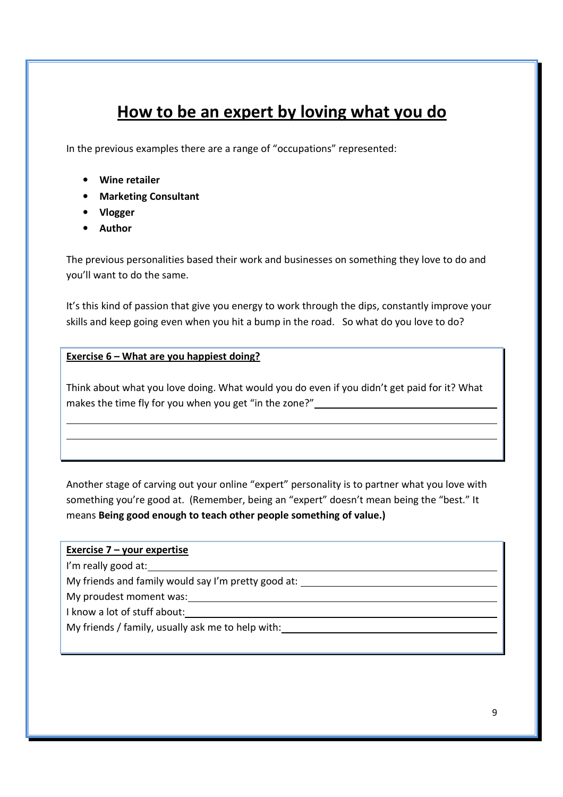# How to be an expert by loving what you do

In the previous examples there are a range of "occupations" represented:

- Wine retailer
- Marketing Consultant
- Vlogger
- Author

The previous personalities based their work and businesses on something they love to do and you'll want to do the same.

It's this kind of passion that give you energy to work through the dips, constantly improve your skills and keep going even when you hit a bump in the road. So what do you love to do?

#### Exercise 6 – What are you happiest doing?

Think about what you love doing. What would you do even if you didn't get paid for it? What makes the time fly for you when you get "in the zone?"

Another stage of carving out your online "expert" personality is to partner what you love with something you're good at. (Remember, being an "expert" doesn't mean being the "best." It means Being good enough to teach other people something of value.)

#### Exercise 7 – your expertise

I'm really good at:

 $\overline{a}$ 

My friends and family would say I'm pretty good at:

My proudest moment was:<br>
My proudest moment was:

I know a lot of stuff about:

My friends / family, usually ask me to help with: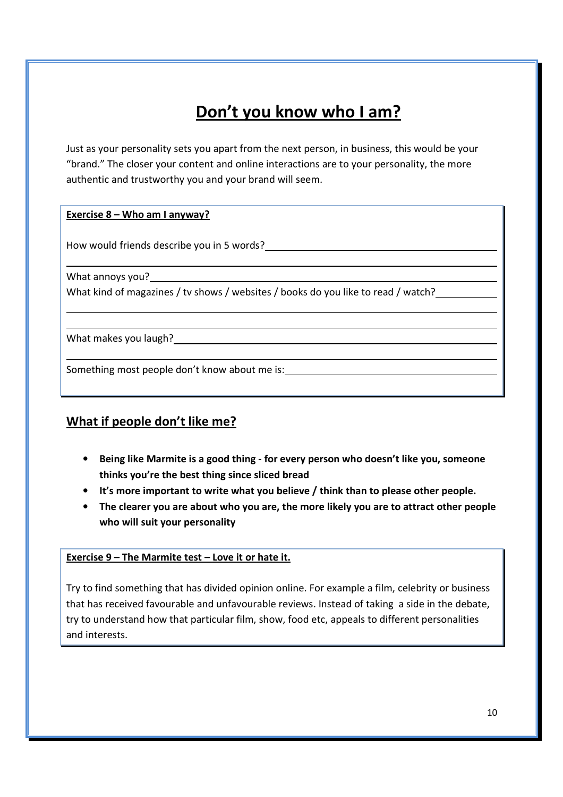# Don't you know who I am?

Just as your personality sets you apart from the next person, in business, this would be your "brand." The closer your content and online interactions are to your personality, the more authentic and trustworthy you and your brand will seem.

#### Exercise 8 – Who am I anyway?

How would friends describe you in 5 words?

What annoys you?

 $\overline{a}$ 

l,

What kind of magazines / tv shows / websites / books do you like to read / watch?

What makes you laugh?

Something most people don't know about me is:

#### What if people don't like me?

- Being like Marmite is a good thing for every person who doesn't like you, someone thinks you're the best thing since sliced bread
- It's more important to write what you believe / think than to please other people.
- The clearer you are about who you are, the more likely you are to attract other people who will suit your personality

#### Exercise 9 – The Marmite test – Love it or hate it.

Try to find something that has divided opinion online. For example a film, celebrity or business that has received favourable and unfavourable reviews. Instead of taking a side in the debate, try to understand how that particular film, show, food etc, appeals to different personalities and interests.